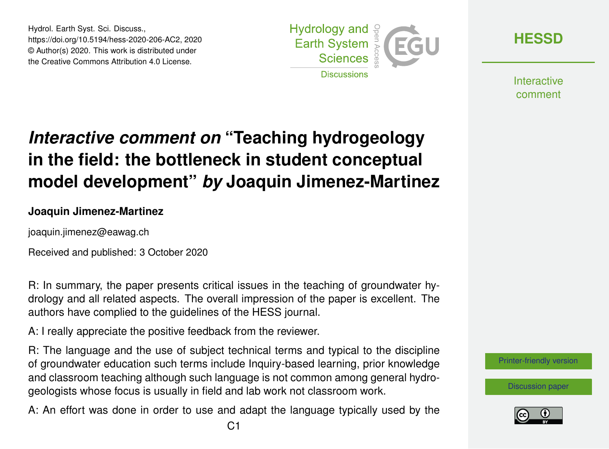Hydrol. Earth Syst. Sci. Discuss., https://doi.org/10.5194/hess-2020-206-AC2, 2020 © Author(s) 2020. This work is distributed under the Creative Commons Attribution 4.0 License.



**[HESSD](https://hess.copernicus.org/preprints/)**

**Interactive** comment

# *Interactive comment on* **"Teaching hydrogeology in the field: the bottleneck in student conceptual model development"** *by* **Joaquin Jimenez-Martinez**

#### **Joaquin Jimenez-Martinez**

joaquin.jimenez@eawag.ch

Received and published: 3 October 2020

R: In summary, the paper presents critical issues in the teaching of groundwater hydrology and all related aspects. The overall impression of the paper is excellent. The authors have complied to the guidelines of the HESS journal.

A: I really appreciate the positive feedback from the reviewer.

R: The language and the use of subject technical terms and typical to the discipline of groundwater education such terms include Inquiry-based learning, prior knowledge and classroom teaching although such language is not common among general hydrogeologists whose focus is usually in field and lab work not classroom work.

A: An effort was done in order to use and adapt the language typically used by the



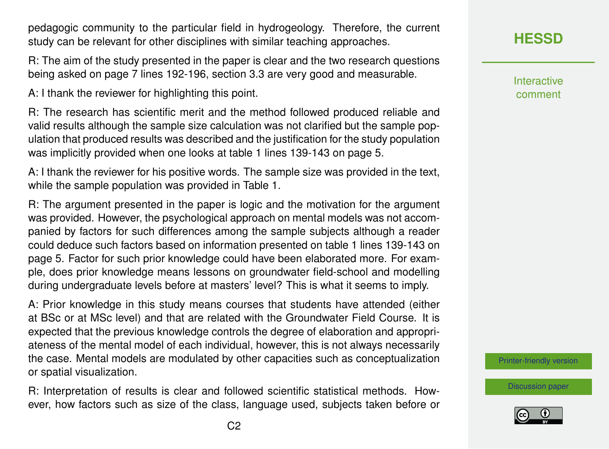pedagogic community to the particular field in hydrogeology. Therefore, the current study can be relevant for other disciplines with similar teaching approaches.

R: The aim of the study presented in the paper is clear and the two research questions being asked on page 7 lines 192-196, section 3.3 are very good and measurable.

A: I thank the reviewer for highlighting this point.

R: The research has scientific merit and the method followed produced reliable and valid results although the sample size calculation was not clarified but the sample population that produced results was described and the justification for the study population was implicitly provided when one looks at table 1 lines 139-143 on page 5.

A: I thank the reviewer for his positive words. The sample size was provided in the text, while the sample population was provided in Table 1.

R: The argument presented in the paper is logic and the motivation for the argument was provided. However, the psychological approach on mental models was not accompanied by factors for such differences among the sample subjects although a reader could deduce such factors based on information presented on table 1 lines 139-143 on page 5. Factor for such prior knowledge could have been elaborated more. For example, does prior knowledge means lessons on groundwater field-school and modelling during undergraduate levels before at masters' level? This is what it seems to imply.

A: Prior knowledge in this study means courses that students have attended (either at BSc or at MSc level) and that are related with the Groundwater Field Course. It is expected that the previous knowledge controls the degree of elaboration and appropriateness of the mental model of each individual, however, this is not always necessarily the case. Mental models are modulated by other capacities such as conceptualization or spatial visualization.

R: Interpretation of results is clear and followed scientific statistical methods. However, how factors such as size of the class, language used, subjects taken before or **[HESSD](https://hess.copernicus.org/preprints/)**

**Interactive** comment

[Printer-friendly version](https://hess.copernicus.org/preprints/hess-2020-206/hess-2020-206-AC2-print.pdf)

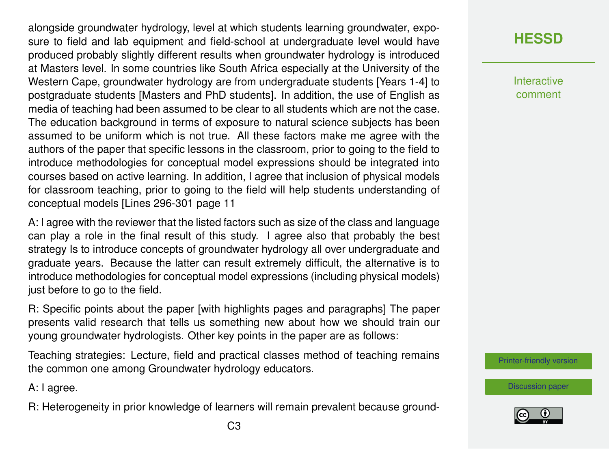alongside groundwater hydrology, level at which students learning groundwater, exposure to field and lab equipment and field-school at undergraduate level would have produced probably slightly different results when groundwater hydrology is introduced at Masters level. In some countries like South Africa especially at the University of the Western Cape, groundwater hydrology are from undergraduate students [Years 1-4] to postgraduate students [Masters and PhD students]. In addition, the use of English as media of teaching had been assumed to be clear to all students which are not the case. The education background in terms of exposure to natural science subjects has been assumed to be uniform which is not true. All these factors make me agree with the authors of the paper that specific lessons in the classroom, prior to going to the field to introduce methodologies for conceptual model expressions should be integrated into courses based on active learning. In addition, I agree that inclusion of physical models for classroom teaching, prior to going to the field will help students understanding of conceptual models [Lines 296-301 page 11

A: I agree with the reviewer that the listed factors such as size of the class and language can play a role in the final result of this study. I agree also that probably the best strategy Is to introduce concepts of groundwater hydrology all over undergraduate and graduate years. Because the latter can result extremely difficult, the alternative is to introduce methodologies for conceptual model expressions (including physical models) just before to go to the field.

R: Specific points about the paper [with highlights pages and paragraphs] The paper presents valid research that tells us something new about how we should train our young groundwater hydrologists. Other key points in the paper are as follows:

Teaching strategies: Lecture, field and practical classes method of teaching remains the common one among Groundwater hydrology educators.

A: I agree.

R: Heterogeneity in prior knowledge of learners will remain prevalent because ground-

## **[HESSD](https://hess.copernicus.org/preprints/)**

**Interactive** comment

[Printer-friendly version](https://hess.copernicus.org/preprints/hess-2020-206/hess-2020-206-AC2-print.pdf)

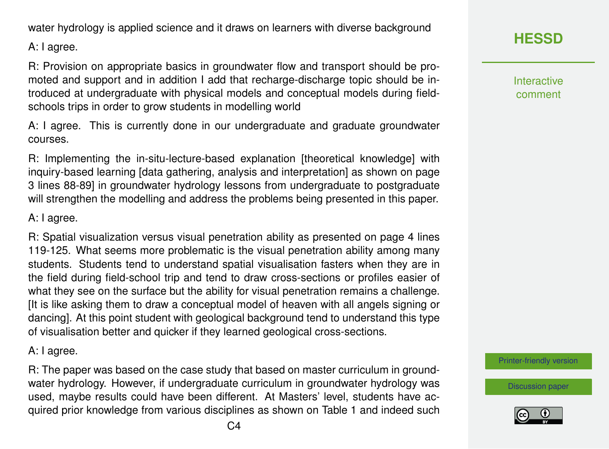water hydrology is applied science and it draws on learners with diverse background

A: I agree.

R: Provision on appropriate basics in groundwater flow and transport should be promoted and support and in addition I add that recharge-discharge topic should be introduced at undergraduate with physical models and conceptual models during fieldschools trips in order to grow students in modelling world

A: I agree. This is currently done in our undergraduate and graduate groundwater courses.

R: Implementing the in-situ-lecture-based explanation [theoretical knowledge] with inquiry-based learning [data gathering, analysis and interpretation] as shown on page 3 lines 88-89] in groundwater hydrology lessons from undergraduate to postgraduate will strengthen the modelling and address the problems being presented in this paper.

#### A: I agree.

R: Spatial visualization versus visual penetration ability as presented on page 4 lines 119-125. What seems more problematic is the visual penetration ability among many students. Students tend to understand spatial visualisation fasters when they are in the field during field-school trip and tend to draw cross-sections or profiles easier of what they see on the surface but the ability for visual penetration remains a challenge. [It is like asking them to draw a conceptual model of heaven with all angels signing or dancing]. At this point student with geological background tend to understand this type of visualisation better and quicker if they learned geological cross-sections.

#### A: I agree.

R: The paper was based on the case study that based on master curriculum in groundwater hydrology. However, if undergraduate curriculum in groundwater hydrology was used, maybe results could have been different. At Masters' level, students have acquired prior knowledge from various disciplines as shown on Table 1 and indeed such Interactive comment

[Printer-friendly version](https://hess.copernicus.org/preprints/hess-2020-206/hess-2020-206-AC2-print.pdf)